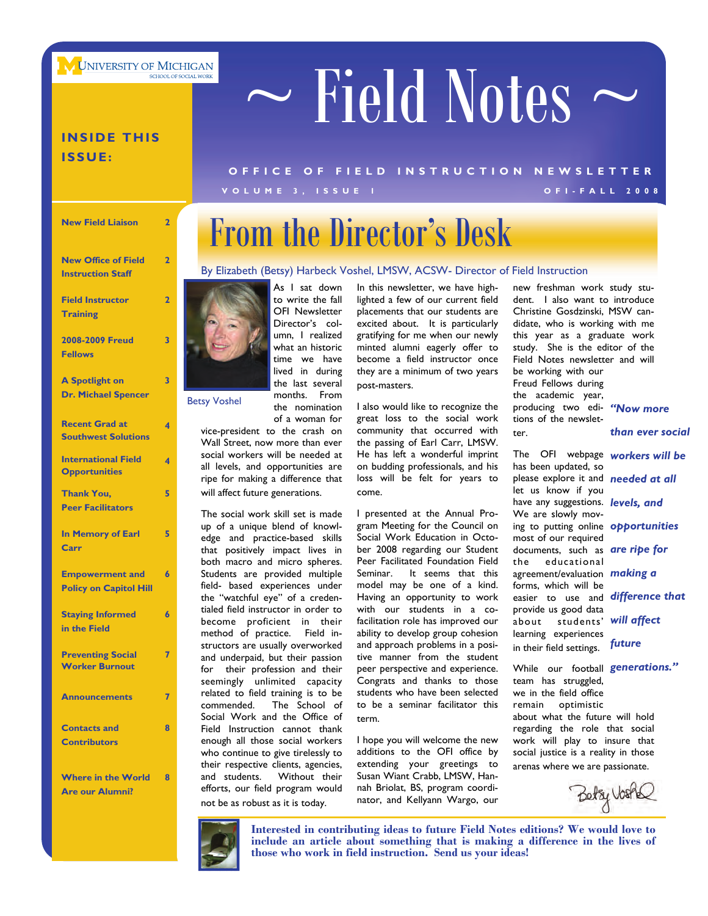**UNIVERSITY OF MICHIGAN** 

# $\sim$  Field Notes  $\sim$

### **INSIDE THIS ISSUE:**

### **VOLUME 3, ISSUE 1 OFI-FALL 2008 OFFICE OF FIELD INST RUCTION NEWSLETTER**

### **New Field Liaison 2 A Spotlight on Dr. Michael Spencer 3 Recent Grad at Southwest Solutions 4 International Field Opportunities 4 Thank You, Peer Facilitators 5 New Office of Field Instruction Staff 2 Field Instructor Training 2 2008-2009 Freud Fellows 3**

| <b>In Memory of Earl</b><br>Carr                        |   |
|---------------------------------------------------------|---|
| <b>Empowerment and</b><br><b>Policy on Capitol Hill</b> | 6 |
| <b>Staying Informed</b><br>in the Field                 | 6 |
| <b>Preventing Social</b><br><b>Worker Burnout</b>       |   |
| <b>Announcements</b>                                    |   |
| <b>Contacts and</b><br><b>Contributors</b>              | я |

**Where in the World Are our Alumni?** 

**8** 

# From the Director's Desk

### By Elizabeth (Betsy) Harbeck Voshel, LMSW, ACSW- Director of Field Instruction



As I sat down to write the fall OFI Newsletter Director's column, I realized what an historic time we have lived in during the last several months. From the nomination of a woman for

vice-president to the crash on Wall Street, now more than ever social workers will be needed at all levels, and opportunities are ripe for making a difference that will affect future generations.

The social work skill set is made up of a unique blend of knowledge and practice-based skills that positively impact lives in both macro and micro spheres. Students are provided multiple field- based experiences under the "watchful eye" of a credentialed field instructor in order to become proficient in their method of practice. Field instructors are usually overworked and underpaid, but their passion for their profession and their seemingly unlimited capacity related to field training is to be commended. The School of Social Work and the Office of Field Instruction cannot thank enough all those social workers who continue to give tirelessly to their respective clients, agencies, and students. Without their efforts, our field program would not be as robust as it is today.

In this newsletter, we have highlighted a few of our current field placements that our students are excited about. It is particularly gratifying for me when our newly minted alumni eagerly offer to become a field instructor once they are a minimum of two years post-masters.

I also would like to recognize the great loss to the social work community that occurred with the passing of Earl Carr, LMSW. He has left a wonderful imprint on budding professionals, and his loss will be felt for years to come.

I presented at the Annual Program Meeting for the Council on Social Work Education in October 2008 regarding our Student Peer Facilitated Foundation Field Seminar. It seems that this model may be one of a kind. Having an opportunity to work with our students in a cofacilitation role has improved our ability to develop group cohesion and approach problems in a positive manner from the student peer perspective and experience. Congrats and thanks to those students who have been selected to be a seminar facilitator this term.

I hope you will welcome the new additions to the OFI office by extending your greetings to Susan Wiant Crabb, LMSW, Hannah Briolat, BS, program coordinator, and Kellyann Wargo, our

new freshman work study student. I also want to introduce Christine Gosdzinski, MSW candidate, who is working with me this year as a graduate work study. She is the editor of the Field Notes newsletter and will be working with our Freud Fellows during the academic year, Betsy Voshel **1992 the nomination** I also would like to recognize the producing two edi- "Now more tions of the newsletter. *than ever social* 

> The OFI webpage *workers will be*  has been updated, so please explore it and *needed at all*  let us know if you have any suggestions. *levels, and*  We are slowly moving to putting online *opportunities*  most of our required documents, such as *are ripe for*  the educational agreement/evaluation *making a*  forms, which will be easier to use and *difference that*  provide us good data about students' *will affect*  learning experiences in their field settings.

*future* 

While our football *generations."*  team has struggled, we in the field office remain optimistic about what the future will hold regarding the role that social work will play to insure that

social justice is a reality in those arenas where we are passionate.

Betzy Voste



**Interested in contributing ideas to future Field Notes editions? We would love to include an article about something that is making a difference in the lives of those who work in field instruction. Send us your ideas!**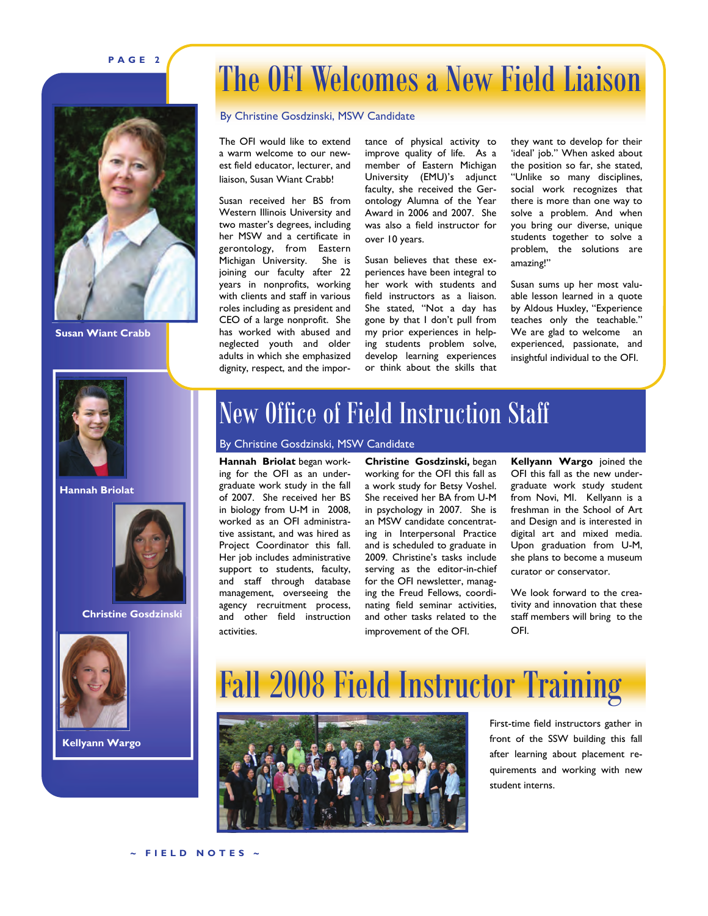### **PAGE 2**



**Susan Wiant Crabb** 

### The OFI Welcomes a New Field Liaison

#### By Christine Gosdzinski, MSW Candidate

The OFI would like to extend a warm welcome to our newest field educator, lecturer, and liaison, Susan Wiant Crabb!

Susan received her BS from Western Illinois University and two master's degrees, including her MSW and a certificate in gerontology, from Eastern Michigan University. She is joining our faculty after 22 years in nonprofits, working with clients and staff in various roles including as president and CEO of a large nonprofit. She has worked with abused and neglected youth and older adults in which she emphasized dignity, respect, and the importance of physical activity to improve quality of life. As a member of Eastern Michigan University (EMU)'s adjunct faculty, she received the Gerontology Alumna of the Year Award in 2006 and 2007. She was also a field instructor for over 10 years.

Susan believes that these experiences have been integral to her work with students and field instructors as a liaison. She stated, "Not a day has gone by that I don't pull from my prior experiences in helping students problem solve, develop learning experiences or think about the skills that

they want to develop for their 'ideal' job." When asked about the position so far, she stated, "Unlike so many disciplines, social work recognizes that there is more than one way to solve a problem. And when you bring our diverse, unique students together to solve a problem, the solutions are amazing!"

Susan sums up her most valuable lesson learned in a quote by Aldous Huxley, "Experience teaches only the teachable." We are glad to welcome an experienced, passionate, and insightful individual to the OFI.



**Hannah Briolat** 



**Christine Gosdzinski** 



**Kellyann Wargo** 

### New Office of Field Instruction Staff

#### By Christine Gosdzinski, MSW Candidate

**Hannah Briolat** began working for the OFI as an undergraduate work study in the fall of 2007. She received her BS in biology from U-M in 2008, worked as an OFI administrative assistant, and was hired as Project Coordinator this fall. Her job includes administrative support to students, faculty, and staff through database management, overseeing the agency recruitment process, and other field instruction activities.

**Christine Gosdzinski,** began working for the OFI this fall as a work study for Betsy Voshel. She received her BA from U-M in psychology in 2007. She is an MSW candidate concentrating in Interpersonal Practice and is scheduled to graduate in 2009. Christine's tasks include serving as the editor-in-chief for the OFI newsletter, managing the Freud Fellows, coordinating field seminar activities, and other tasks related to the improvement of the OFI.

**Kellyann Wargo** joined the OFI this fall as the new undergraduate work study student from Novi, MI. Kellyann is a freshman in the School of Art and Design and is interested in digital art and mixed media. Upon graduation from U-M, she plans to become a museum curator or conservator.

We look forward to the creativity and innovation that these staff members will bring to the OFI.





First-time field instructors gather in front of the SSW building this fall after learning about placement requirements and working with new student interns.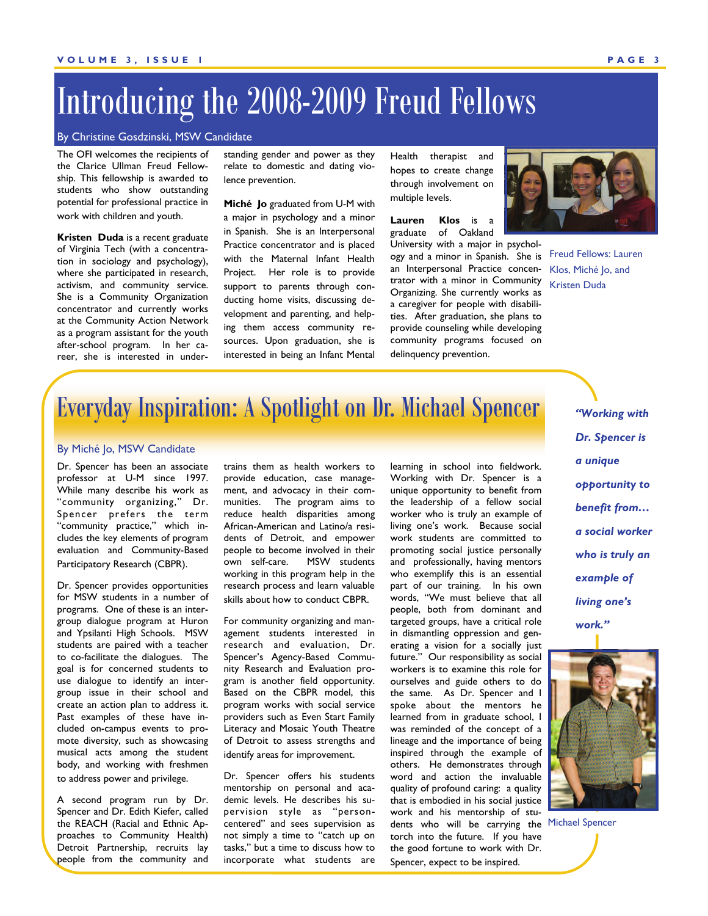### Introducing the 2008-2009 Freud Fellows

#### By Christine Gosdzinski, MSW Candidate

The OFI welcomes the recipients of the Clarice Ullman Freud Fellowship. This fellowship is awarded to students who show outstanding potential for professional practice in work with children and youth.

**Kristen Duda** is a recent graduate of Virginia Tech (with a concentration in sociology and psychology), where she participated in research, activism, and community service. She is a Community Organization concentrator and currently works at the Community Action Network as a program assistant for the youth after-school program. In her career, she is interested in under-

standing gender and power as they relate to domestic and dating violence prevention.

**Miché Jo** graduated from U-M with a major in psychology and a minor in Spanish. She is an Interpersonal Practice concentrator and is placed with the Maternal Infant Health Project. Her role is to provide support to parents through conducting home visits, discussing development and parenting, and helping them access community resources. Upon graduation, she is interested in being an Infant Mental

Health therapist and hopes to create change through involvement on multiple levels.

**Lauren Klos** is a graduate of Oakland

University with a major in psychology and a minor in Spanish. She is Freud Fellows: Lauren an Interpersonal Practice concentrator with a minor in Community Organizing. She currently works as a caregiver for people with disabilities. After graduation, she plans to provide counseling while developing community programs focused on delinquency prevention.



Klos, Miché Jo, and Kristen Duda

### Everyday Inspiration: A Spotlight on Dr. Michael Spencer

#### By Miché Jo, MSW Candidate

Dr. Spencer has been an associate professor at U-M since 1997. While many describe his work as "community organizing," Dr. Spencer prefers the term "community practice," which includes the key elements of program evaluation and Community-Based Participatory Research (CBPR).

Dr. Spencer provides opportunities for MSW students in a number of programs. One of these is an intergroup dialogue program at Huron and Ypsilanti High Schools. MSW students are paired with a teacher to co-facilitate the dialogues. The goal is for concerned students to use dialogue to identify an intergroup issue in their school and create an action plan to address it. Past examples of these have included on-campus events to promote diversity, such as showcasing musical acts among the student body, and working with freshmen to address power and privilege.

A second program run by Dr. Spencer and Dr. Edith Kiefer, called the REACH (Racial and Ethnic Approaches to Community Health) Detroit Partnership, recruits lay people from the community and

trains them as health workers to provide education, case management, and advocacy in their communities. The program aims to reduce health disparities among African-American and Latino/a residents of Detroit, and empower people to become involved in their own self-care. MSW students working in this program help in the research process and learn valuable skills about how to conduct CBPR.

For community organizing and management students interested in research and evaluation, Dr. Spencer's Agency-Based Community Research and Evaluation program is another field opportunity. Based on the CBPR model, this program works with social service providers such as Even Start Family Literacy and Mosaic Youth Theatre of Detroit to assess strengths and identify areas for improvement.

Dr. Spencer offers his students mentorship on personal and academic levels. He describes his supervision style as "personcentered" and sees supervision as not simply a time to "catch up on tasks," but a time to discuss how to incorporate what students are learning in school into fieldwork. Working with Dr. Spencer is a unique opportunity to benefit from the leadership of a fellow social worker who is truly an example of living one's work. Because social work students are committed to promoting social justice personally and professionally, having mentors who exemplify this is an essential part of our training. In his own words, "We must believe that all people, both from dominant and targeted groups, have a critical role in dismantling oppression and generating a vision for a socially just future." Our responsibility as social workers is to examine this role for ourselves and guide others to do the same. As Dr. Spencer and I spoke about the mentors he learned from in graduate school, I was reminded of the concept of a lineage and the importance of being inspired through the example of others. He demonstrates through word and action the invaluable quality of profound caring: a quality that is embodied in his social justice work and his mentorship of students who will be carrying the Michael Spencer torch into the future. If you have the good fortune to work with Dr. Spencer, expect to be inspired.

*"Working with Dr. Spencer is a unique opportunity to benefit from… a social worker who is truly an example of living one's work."* 

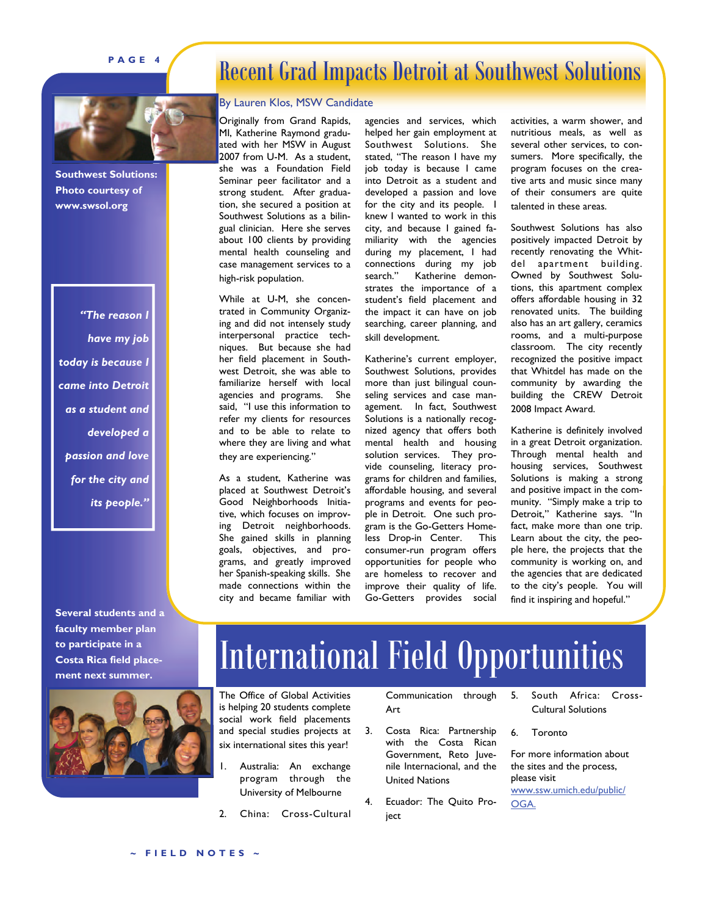### **PAGE 4**

### Recent Grad Impacts Detroit at Southwest Solutions



**Southwest Solutions: Photo courtesy of www.swsol.org** 

*"The reason I have my job today is because I came into Detroit as a student and developed a passion and love for the city and its people."* 

**Several students and a faculty member plan to participate in a Costa Rica field placement next summer.** 



#### By Lauren Klos, MSW Candidate

Originally from Grand Rapids, MI, Katherine Raymond graduated with her MSW in August 2007 from U-M. As a student, she was a Foundation Field Seminar peer facilitator and a strong student. After graduation, she secured a position at Southwest Solutions as a bilingual clinician. Here she serves about 100 clients by providing mental health counseling and case management services to a high-risk population.

While at U-M, she concentrated in Community Organizing and did not intensely study interpersonal practice techniques. But because she had her field placement in Southwest Detroit, she was able to familiarize herself with local agencies and programs. She said, "I use this information to refer my clients for resources and to be able to relate to where they are living and what they are experiencing."

As a student, Katherine was placed at Southwest Detroit's Good Neighborhoods Initiative, which focuses on improving Detroit neighborhoods. She gained skills in planning goals, objectives, and programs, and greatly improved her Spanish-speaking skills. She made connections within the city and became familiar with agencies and services, which helped her gain employment at Southwest Solutions. She stated, "The reason I have my job today is because I came into Detroit as a student and developed a passion and love for the city and its people. I knew I wanted to work in this city, and because I gained familiarity with the agencies during my placement, I had connections during my job search." Katherine demonstrates the importance of a student's field placement and the impact it can have on job searching, career planning, and skill development.

Katherine's current employer, Southwest Solutions, provides more than just bilingual counseling services and case management. In fact, Southwest Solutions is a nationally recognized agency that offers both mental health and housing solution services. They provide counseling, literacy programs for children and families, affordable housing, and several programs and events for people in Detroit. One such program is the Go-Getters Homeless Drop-in Center. This consumer-run program offers opportunities for people who are homeless to recover and improve their quality of life. Go-Getters provides social

activities, a warm shower, and nutritious meals, as well as several other services, to consumers. More specifically, the program focuses on the creative arts and music since many of their consumers are quite talented in these areas.

Southwest Solutions has also positively impacted Detroit by recently renovating the Whitdel apartment building. Owned by Southwest Solutions, this apartment complex offers affordable housing in 32 renovated units. The building also has an art gallery, ceramics rooms, and a multi-purpose classroom. The city recently recognized the positive impact that Whitdel has made on the community by awarding the building the CREW Detroit 2008 Impact Award.

Katherine is definitely involved in a great Detroit organization. Through mental health and housing services, Southwest Solutions is making a strong and positive impact in the community. "Simply make a trip to Detroit," Katherine says. "In fact, make more than one trip. Learn about the city, the people here, the projects that the community is working on, and the agencies that are dedicated to the city's people. You will find it inspiring and hopeful."

# International Field Opportunities

The Office of Global Activities is helping 20 students complete social work field placements and special studies projects at six international sites this year!

- Australia: An exchange program through the University of Melbourne
- 2. China: Cross-Cultural

Communication through Art

- 3. Costa Rica: Partnership with the Costa Rican Government, Reto Juvenile Internacional, and the United Nations
- 4. Ecuador: The Quito Proiect

5. South Africa: Cross-Cultural Solutions

6. Toronto

For more information about the sites and the process, please visit [www.ssw.umich.edu/public/](http://www.ssw.umich.edu/public/OGA/) [OGA.](http://www.ssw.umich.edu/public/OGA/)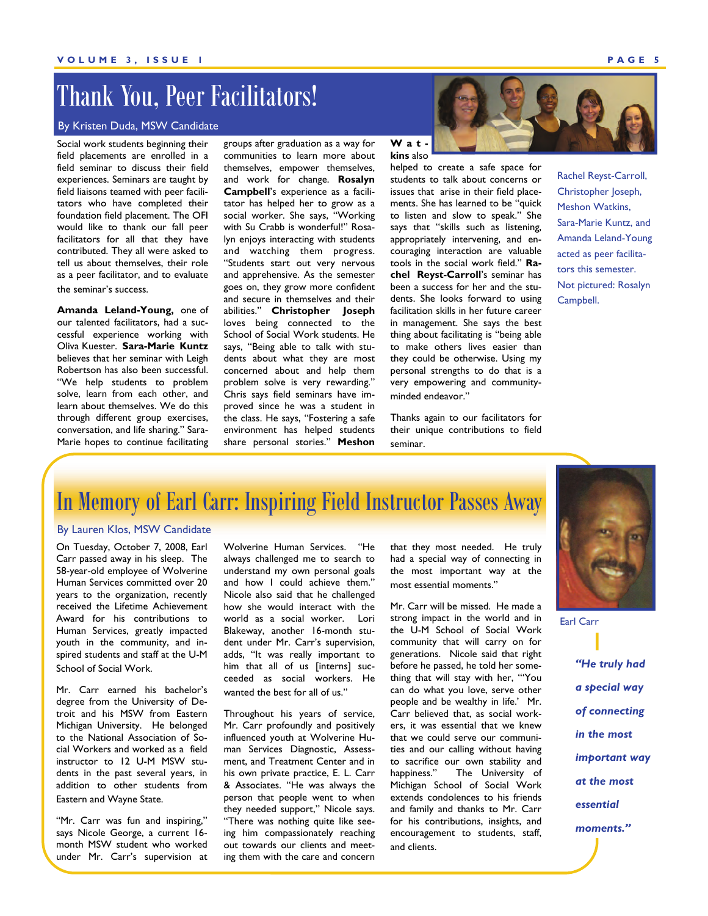### Thank You, Peer Facilitators!

#### By Kristen Duda, MSW Candidate

Social work students beginning their field placements are enrolled in a field seminar to discuss their field experiences. Seminars are taught by field liaisons teamed with peer facilitators who have completed their foundation field placement. The OFI would like to thank our fall peer facilitators for all that they have contributed. They all were asked to tell us about themselves, their role as a peer facilitator, and to evaluate the seminar's success.

**Amanda Leland-Young,** one of our talented facilitators, had a successful experience working with Oliva Kuester. **Sara-Marie Kuntz** believes that her seminar with Leigh Robertson has also been successful. "We help students to problem solve, learn from each other, and learn about themselves. We do this through different group exercises, conversation, and life sharing." Sara-Marie hopes to continue facilitating

groups after graduation as a way for communities to learn more about themselves, empower themselves, and work for change. **Rosalyn Campbell**'s experience as a facilitator has helped her to grow as a social worker. She says, "Working with Su Crabb is wonderful!" Rosalyn enjoys interacting with students and watching them progress. "Students start out very nervous and apprehensive. As the semester goes on, they grow more confident and secure in themselves and their abilities." **Christopher Joseph** loves being connected to the School of Social Work students. He says, "Being able to talk with students about what they are most concerned about and help them problem solve is very rewarding." Chris says field seminars have improved since he was a student in the class. He says, "Fostering a safe environment has helped students share personal stories." **Meshon** 

**Watkins** also

helped to create a safe space for students to talk about concerns or issues that arise in their field placements. She has learned to be "quick to listen and slow to speak." She says that "skills such as listening, appropriately intervening, and encouraging interaction are valuable tools in the social work field." **Rachel Reyst-Carroll**'s seminar has been a success for her and the students. She looks forward to using facilitation skills in her future career in management. She says the best thing about facilitating is "being able to make others lives easier than they could be otherwise. Using my personal strengths to do that is a very empowering and communityminded endeavor."

Thanks again to our facilitators for their unique contributions to field seminar.

Rachel Reyst-Carroll, Christopher Joseph, Meshon Watkins, Sara-Marie Kuntz, and Amanda Leland-Young acted as peer facilitators this semester. Not pictured: Rosalyn Campbell.

### In Memory of Earl Carr: Inspiring Field Instructor Passes Away

### By Lauren Klos, MSW Candidate

On Tuesday, October 7, 2008, Earl Carr passed away in his sleep. The 58-year-old employee of Wolverine Human Services committed over 20 years to the organization, recently received the Lifetime Achievement Award for his contributions to Human Services, greatly impacted youth in the community, and inspired students and staff at the U-M School of Social Work.

Mr. Carr earned his bachelor's degree from the University of Detroit and his MSW from Eastern Michigan University. He belonged to the National Association of Social Workers and worked as a field instructor to 12 U-M MSW students in the past several years, in addition to other students from Eastern and Wayne State.

"Mr. Carr was fun and inspiring," says Nicole George, a current 16 month MSW student who worked under Mr. Carr's supervision at Wolverine Human Services. "He always challenged me to search to understand my own personal goals and how I could achieve them." Nicole also said that he challenged how she would interact with the world as a social worker. Lori Blakeway, another 16-month student under Mr. Carr's supervision, adds, "It was really important to him that all of us [interns] succeeded as social workers. He wanted the best for all of us."

Throughout his years of service, Mr. Carr profoundly and positively influenced youth at Wolverine Human Services Diagnostic, Assessment, and Treatment Center and in his own private practice, E. L. Carr & Associates. "He was always the person that people went to when they needed support," Nicole says. "There was nothing quite like seeing him compassionately reaching out towards our clients and meeting them with the care and concern

that they most needed. He truly had a special way of connecting in the most important way at the most essential moments."

Mr. Carr will be missed. He made a strong impact in the world and in the U-M School of Social Work community that will carry on for generations. Nicole said that right before he passed, he told her something that will stay with her, "'You can do what you love, serve other people and be wealthy in life.' Mr. Carr believed that, as social workers, it was essential that we knew that we could serve our communities and our calling without having to sacrifice our own stability and happiness." The University of Michigan School of Social Work extends condolences to his friends and family and thanks to Mr. Carr for his contributions, insights, and encouragement to students, staff, and clients.



*"He truly had a special way of connecting in the most important way at the most essential moments."*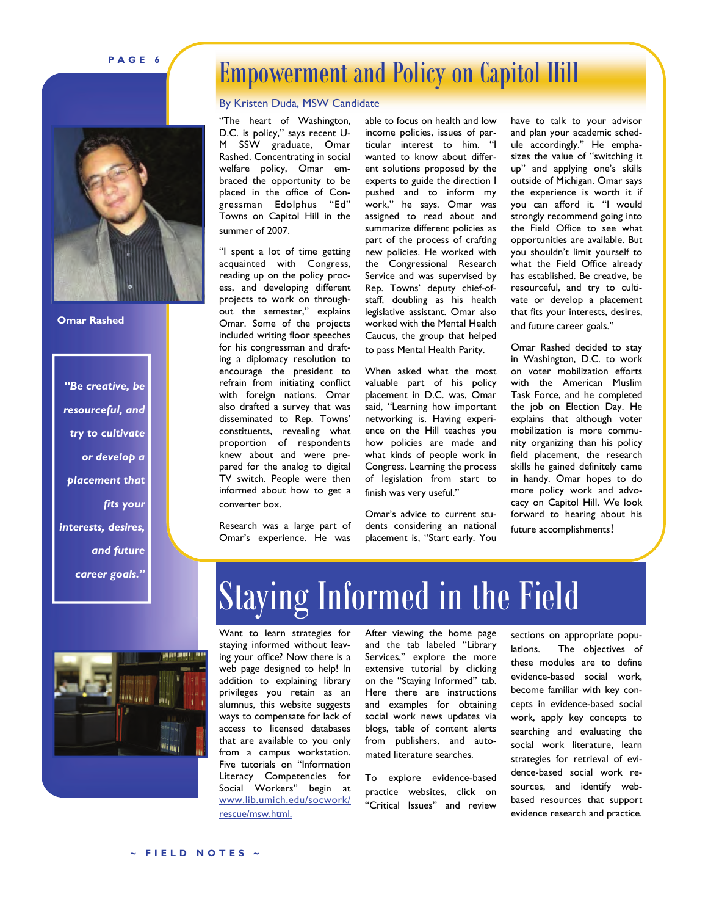### **PAGE 6**



**Omar Rashed** 

*"Be creative, be resourceful, and try to cultivate or develop a placement that fits your interests, desires, and future career goals."* 

### Empowerment and Policy on Capitol Hill

#### By Kristen Duda, MSW Candidate

"The heart of Washington, D.C. is policy," says recent U-M SSW graduate, Omar Rashed. Concentrating in social welfare policy, Omar embraced the opportunity to be placed in the office of Congressman Edolphus "Ed" Towns on Capitol Hill in the summer of 2007.

"I spent a lot of time getting acquainted with Congress, reading up on the policy process, and developing different projects to work on throughout the semester," explains Omar. Some of the projects included writing floor speeches for his congressman and drafting a diplomacy resolution to encourage the president to refrain from initiating conflict with foreign nations. Omar also drafted a survey that was disseminated to Rep. Towns' constituents, revealing what proportion of respondents knew about and were prepared for the analog to digital TV switch. People were then informed about how to get a converter box.

Research was a large part of Omar's experience. He was

able to focus on health and low income policies, issues of particular interest to him. "I wanted to know about different solutions proposed by the experts to guide the direction I pushed and to inform my work," he says. Omar was assigned to read about and summarize different policies as part of the process of crafting new policies. He worked with the Congressional Research Service and was supervised by Rep. Towns' deputy chief-ofstaff, doubling as his health legislative assistant. Omar also worked with the Mental Health Caucus, the group that helped to pass Mental Health Parity.

When asked what the most valuable part of his policy placement in D.C. was, Omar said, "Learning how important networking is. Having experience on the Hill teaches you how policies are made and what kinds of people work in Congress. Learning the process of legislation from start to finish was very useful."

Omar's advice to current students considering an national placement is, "Start early. You

have to talk to your advisor and plan your academic schedule accordingly." He emphasizes the value of "switching it up" and applying one's skills outside of Michigan. Omar says the experience is worth it if you can afford it. "I would strongly recommend going into the Field Office to see what opportunities are available. But you shouldn't limit yourself to what the Field Office already has established. Be creative, be resourceful, and try to cultivate or develop a placement that fits your interests, desires, and future career goals."

Omar Rashed decided to stay in Washington, D.C. to work on voter mobilization efforts with the American Muslim Task Force, and he completed the job on Election Day. He explains that although voter mobilization is more community organizing than his policy field placement, the research skills he gained definitely came in handy. Omar hopes to do more policy work and advocacy on Capitol Hill. We look forward to hearing about his future accomplishments!



# Staying Informed in the Field

Want to learn strategies for staying informed without leaving your office? Now there is a web page designed to help! In addition to explaining library privileges you retain as an alumnus, this website suggests ways to compensate for lack of access to licensed databases that are available to you only from a campus workstation. Five tutorials on "Information Literacy Competencies for Social Workers" begin at www.lib.umich.edu/socwork/ rescue/msw.html.

After viewing the home page and the tab labeled "Library Services," explore the more extensive tutorial by clicking on the "Staying Informed" tab. Here there are instructions and examples for obtaining social work news updates via blogs, table of content alerts from publishers, and automated literature searches.

To explore evidence-based practice websites, click on "Critical Issues" and review

sections on appropriate populations. The objectives of these modules are to define evidence-based social work, become familiar with key concepts in evidence-based social work, apply key concepts to searching and evaluating the social work literature, learn strategies for retrieval of evidence-based social work resources, and identify webbased resources that support evidence research and practice.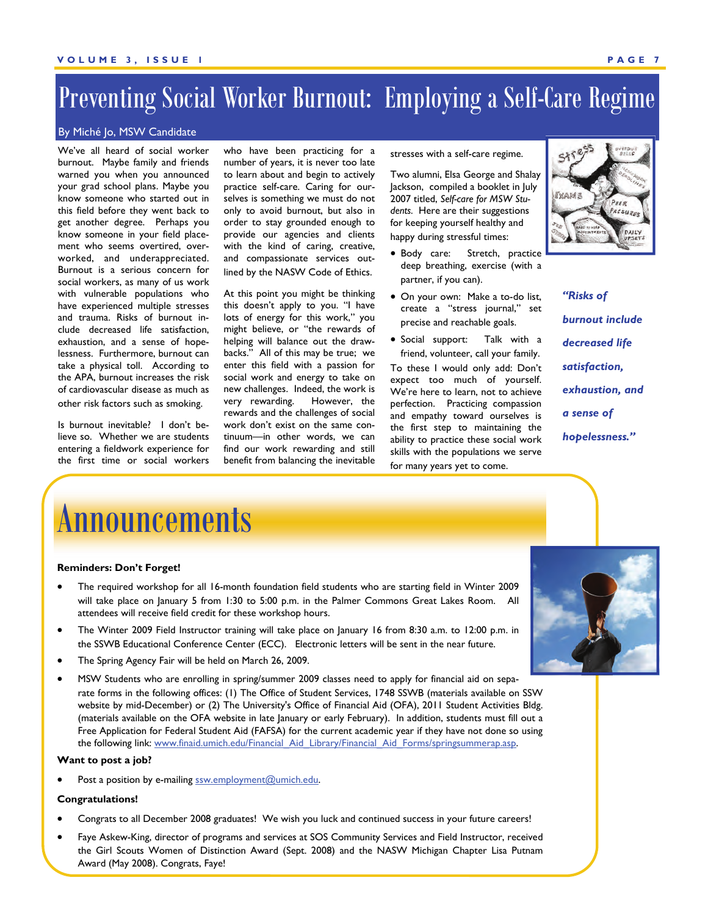### Preventing Social Worker Burnout: Employing a Self-Care Regime

#### By Miché Jo, MSW Candidate

We've all heard of social worker burnout. Maybe family and friends warned you when you announced your grad school plans. Maybe you know someone who started out in this field before they went back to get another degree. Perhaps you know someone in your field placement who seems overtired, overworked, and underappreciated. Burnout is a serious concern for social workers, as many of us work with vulnerable populations who have experienced multiple stresses and trauma. Risks of burnout include decreased life satisfaction, exhaustion, and a sense of hopelessness. Furthermore, burnout can take a physical toll. According to the APA, burnout increases the risk of cardiovascular disease as much as other risk factors such as smoking.

Is burnout inevitable? I don't believe so. Whether we are students entering a fieldwork experience for the first time or social workers

who have been practicing for a number of years, it is never too late to learn about and begin to actively practice self-care. Caring for ourselves is something we must do not only to avoid burnout, but also in order to stay grounded enough to provide our agencies and clients with the kind of caring, creative, and compassionate services outlined by the NASW Code of Ethics.

At this point you might be thinking this doesn't apply to you. "I have lots of energy for this work," you might believe, or "the rewards of helping will balance out the drawbacks." All of this may be true; we enter this field with a passion for social work and energy to take on new challenges. Indeed, the work is very rewarding. However, the rewards and the challenges of social work don't exist on the same continuum—in other words, we can find our work rewarding and still benefit from balancing the inevitable stresses with a self-care regime.

Two alumni, Elsa George and Shalay Jackson, compiled a booklet in July 2007 titled, *Self-care for MSW Students.* Here are their suggestions for keeping yourself healthy and happy during stressful times:

- Body care: Stretch, practice deep breathing, exercise (with a partner, if you can).
- On your own: Make a to-do list, create a "stress journal," set precise and reachable goals.
- Social support: Talk with a friend, volunteer, call your family.

To these I would only add: Don't expect too much of yourself. We're here to learn, not to achieve perfection. Practicing compassion and empathy toward ourselves is the first step to maintaining the ability to practice these social work skills with the populations we serve for many years yet to come.



*"Risks of burnout include decreased life satisfaction, exhaustion, and a sense of hopelessness."* 

### **Announcements**

#### **Reminders: Don't Forget!**

- The required workshop for all 16-month foundation field students who are starting field in Winter 2009 will take place on January 5 from 1:30 to 5:00 p.m. in the Palmer Commons Great Lakes Room. All attendees will receive field credit for these workshop hours.
- The Winter 2009 Field Instructor training will take place on January 16 from 8:30 a.m. to 12:00 p.m. in the SSWB Educational Conference Center (ECC). Electronic letters will be sent in the near future.
- The Spring Agency Fair will be held on March 26, 2009.
- MSW Students who are enrolling in spring/summer 2009 classes need to apply for financial aid on separate forms in the following offices: (1) The Office of Student Services, 1748 SSWB (materials available on SSW website by mid-December) or (2) The University's Office of Financial Aid (OFA), 2011 Student Activities Bldg. (materials available on the OFA website in late January or early February). In addition, students must fill out a Free Application for Federal Student Aid (FAFSA) for the current academic year if they have not done so using the following link: [www.finaid.umich.edu/Financial\\_Aid\\_Library/Financial\\_Aid\\_Forms/springsummerap.asp](http://www.finaid.umich.edu/Financial_Aid_Library/Financial_Aid_Forms/springsummerap.asp).

#### **Want to post a job?**

Post a position by e-mailing [ssw.employment@umich.edu](mailto:ssw.emplolyment@umich.edu).

#### **Congratulations!**

- Congrats to all December 2008 graduates! We wish you luck and continued success in your future careers!
- Faye Askew-King, director of programs and services at SOS Community Services and Field Instructor, received the Girl Scouts Women of Distinction Award (Sept. 2008) and the NASW Michigan Chapter Lisa Putnam Award (May 2008). Congrats, Faye!